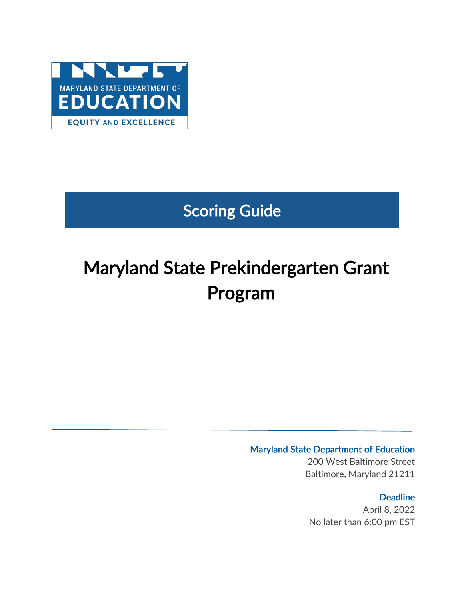

## Scoring Guide

# Maryland State Prekindergarten Grant Program

#### Maryland State Department of Education

200 West Baltimore Street Baltimore, Maryland 21211

#### **Deadline**

April 8, 2022 No later than 6:00 pm EST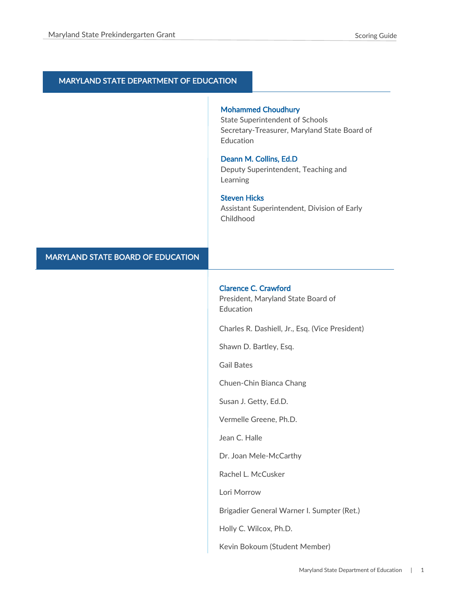#### MARYLAND STATE DEPARTMENT OF EDUCATION

#### Mohammed Choudhury

State Superintendent of Schools Secretary-Treasurer, Maryland State Board of Education

#### Deann M. Collins, Ed.D

Deputy Superintendent, Teaching and Learning

#### Steven Hicks

Assistant Superintendent, Division of Early Childhood

#### MARYLAND STATE BOARD OF EDUCATION

#### Clarence C. Crawford

President, Maryland State Board of Education

Charles R. Dashiell, Jr., Esq. (Vice President)

Shawn D. Bartley, Esq.

Gail Bates

Chuen-Chin Bianca Chang

Susan J. Getty, Ed.D.

Vermelle Greene, Ph.D.

Jean C. Halle

Dr. Joan Mele-McCarthy

Rachel L. McCusker

Lori Morrow

Brigadier General Warner I. Sumpter (Ret.)

Holly C. Wilcox, Ph.D.

Kevin Bokoum (Student Member)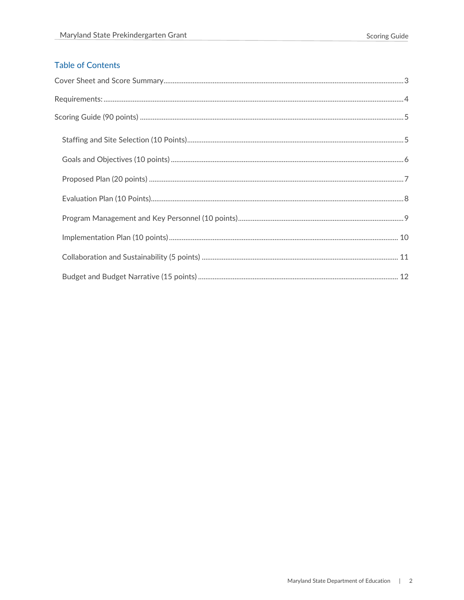#### **Table of Contents**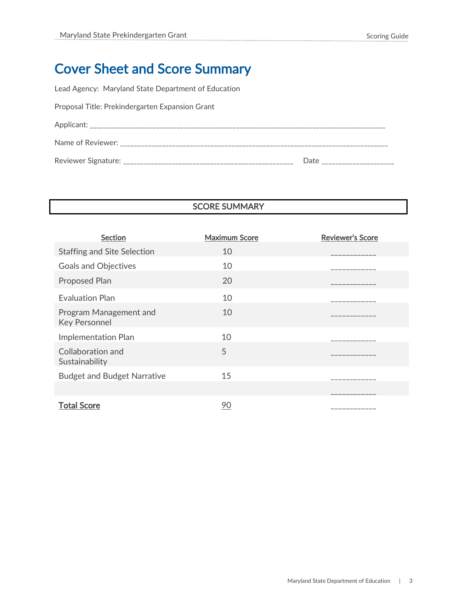### <span id="page-3-0"></span>Cover Sheet and Score Summary

Lead Agency: Maryland State Department of Education

Proposal Title: Prekindergarten Expansion Grant

| Applicant:          |      |
|---------------------|------|
| Name of Reviewer:   |      |
| Reviewer Signature: | Date |

#### SCORE SUMMARY

| Section                                        | <b>Maximum Score</b> | <b>Reviewer's Score</b>   |
|------------------------------------------------|----------------------|---------------------------|
| <b>Staffing and Site Selection</b>             | 10                   | -----------               |
| <b>Goals and Objectives</b>                    | 10                   | __________                |
| <b>Proposed Plan</b>                           | 20                   |                           |
| <b>Evaluation Plan</b>                         | 10                   |                           |
| Program Management and<br><b>Key Personnel</b> | 10                   |                           |
| Implementation Plan                            | 10                   |                           |
| Collaboration and<br>Sustainability            | 5                    |                           |
| <b>Budget and Budget Narrative</b>             | 15                   |                           |
| <b>Total Score</b>                             | 90                   | _________<br>____________ |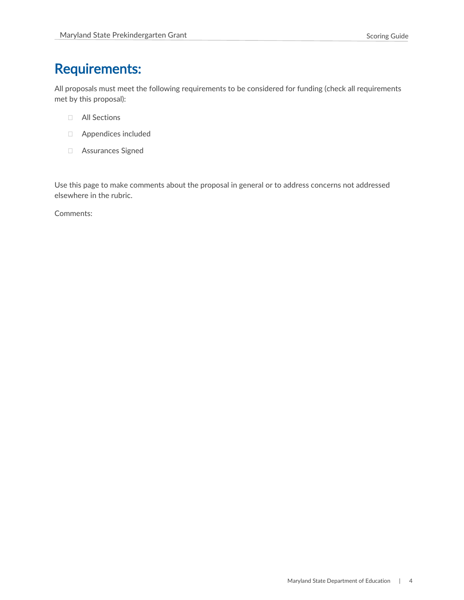### <span id="page-4-0"></span>Requirements:

All proposals must meet the following requirements to be considered for funding (check all requirements met by this proposal):

- All Sections
- Appendices included
- Assurances Signed

Use this page to make comments about the proposal in general or to address concerns not addressed elsewhere in the rubric.

Comments: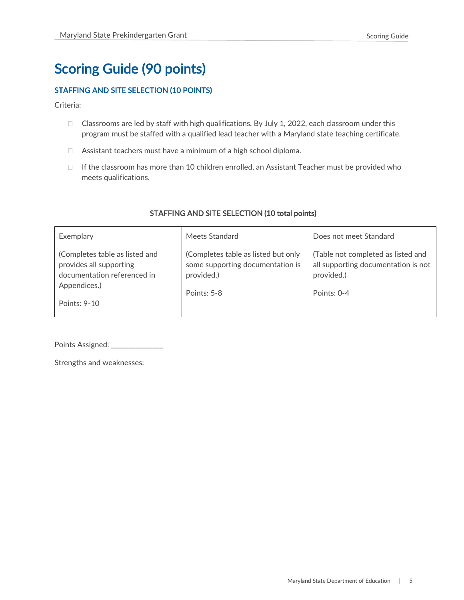### <span id="page-5-0"></span>Scoring Guide (90 points)

#### <span id="page-5-1"></span>STAFFING AND SITE SELECTION (10 POINTS)

Criteria:

- $\Box$  Classrooms are led by staff with high qualifications. By July 1, 2022, each classroom under this program must be staffed with a qualified lead teacher with a Maryland state teaching certificate.
- □ Assistant teachers must have a minimum of a high school diploma.
- $\Box$  If the classroom has more than 10 children enrolled, an Assistant Teacher must be provided who meets qualifications.

| Exemplary                                                                                                | Meets Standard                                                                                       | Does not meet Standard                                                                                 |
|----------------------------------------------------------------------------------------------------------|------------------------------------------------------------------------------------------------------|--------------------------------------------------------------------------------------------------------|
| (Completes table as listed and<br>provides all supporting<br>documentation referenced in<br>Appendices.) | (Completes table as listed but only<br>some supporting documentation is<br>provided.)<br>Points: 5-8 | (Table not completed as listed and<br>all supporting documentation is not<br>provided.)<br>Points: 0-4 |
| Points: 9-10                                                                                             |                                                                                                      |                                                                                                        |

#### STAFFING AND SITE SELECTION (10 total points)

Points Assigned: \_\_\_\_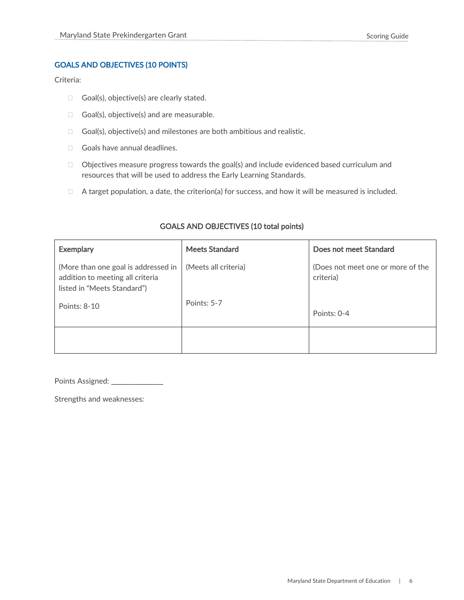#### <span id="page-6-0"></span>GOALS AND OBJECTIVES (10 POINTS)

Criteria:

- $\Box$  Goal(s), objective(s) are clearly stated.
- $\Box$  Goal(s), objective(s) and are measurable.
- $\Box$  Goal(s), objective(s) and milestones are both ambitious and realistic.
- Goals have annual deadlines.
- $\Box$  Objectives measure progress towards the goal(s) and include evidenced based curriculum and resources that will be used to address the Early Learning Standards.
- $\Box$  A target population, a date, the criterion(a) for success, and how it will be measured is included.

| <b>Exemplary</b>                                                                                       | <b>Meets Standard</b> | Does not meet Standard                         |
|--------------------------------------------------------------------------------------------------------|-----------------------|------------------------------------------------|
| (More than one goal is addressed in<br>addition to meeting all criteria<br>listed in "Meets Standard") | (Meets all criteria)  | (Does not meet one or more of the<br>criteria) |
| Points: 8-10                                                                                           | Points: 5-7           | Points: 0-4                                    |
|                                                                                                        |                       |                                                |

#### GOALS AND OBJECTIVES (10 total points)

Points Assigned: \_\_\_\_\_\_\_\_\_\_\_\_\_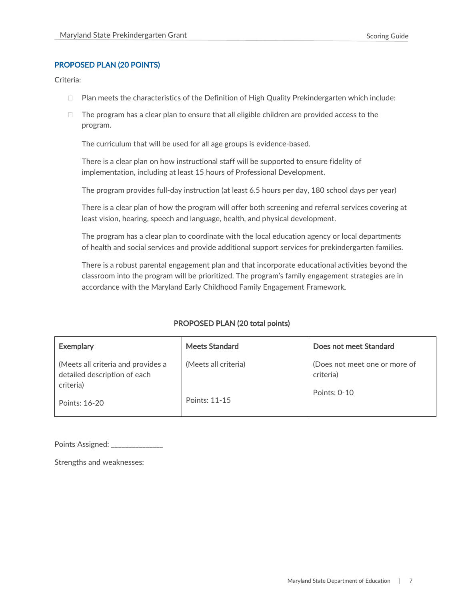#### <span id="page-7-0"></span>PROPOSED PLAN (20 POINTS)

Criteria:

- $\Box$  Plan meets the characteristics of the Definition of High Quality Prekindergarten which include:
- $\Box$  The program has a clear plan to ensure that all eligible children are provided access to the program.

The curriculum that will be used for all age groups is evidence-based.

There is a clear plan on how instructional staff will be supported to ensure fidelity of implementation, including at least 15 hours of Professional Development.

The program provides full-day instruction (at least 6.5 hours per day, 180 school days per year)

There is a clear plan of how the program will offer both screening and referral services covering at least vision, hearing, speech and language, health, and physical development.

The program has a clear plan to coordinate with the local education agency or local departments of health and social services and provide additional support services for prekindergarten families.

There is a robust parental engagement plan and that incorporate educational activities beyond the classroom into the program will be prioritized. The program's family engagement strategies are in accordance with the Maryland Early Childhood Family Engagement Framework.

| <b>Exemplary</b>                                                   | <b>Meets Standard</b> | Does not meet Standard                     |
|--------------------------------------------------------------------|-----------------------|--------------------------------------------|
| (Meets all criteria and provides a<br>detailed description of each | (Meets all criteria)  | (Does not meet one or more of<br>criteria) |
| criteria)<br>Points: 16-20                                         | Points: 11-15         | Points: 0-10                               |

#### PROPOSED PLAN (20 total points)

Points Assigned: \_\_\_\_\_\_\_\_\_\_\_\_\_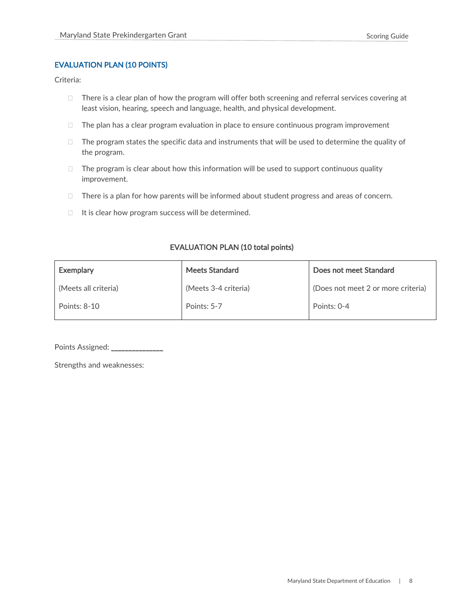#### <span id="page-8-0"></span>EVALUATION PLAN (10 POINTS)

Criteria:

- $\Box$  There is a clear plan of how the program will offer both screening and referral services covering at least vision, hearing, speech and language, health, and physical development.
- $\Box$  The plan has a clear program evaluation in place to ensure continuous program improvement
- $\Box$  The program states the specific data and instruments that will be used to determine the quality of the program.
- $\Box$  The program is clear about how this information will be used to support continuous quality improvement.
- $\Box$  There is a plan for how parents will be informed about student progress and areas of concern.
- $\Box$  It is clear how program success will be determined.

#### EVALUATION PLAN (10 total points)

| <b>Exemplary</b>     | <b>Meets Standard</b> | Does not meet Standard             |
|----------------------|-----------------------|------------------------------------|
| (Meets all criteria) | (Meets 3-4 criteria)  | (Does not meet 2 or more criteria) |
| Points: 8-10         | Points: 5-7           | Points: 0-4                        |

Points Assigned: \_\_\_\_\_\_\_\_\_\_\_\_\_\_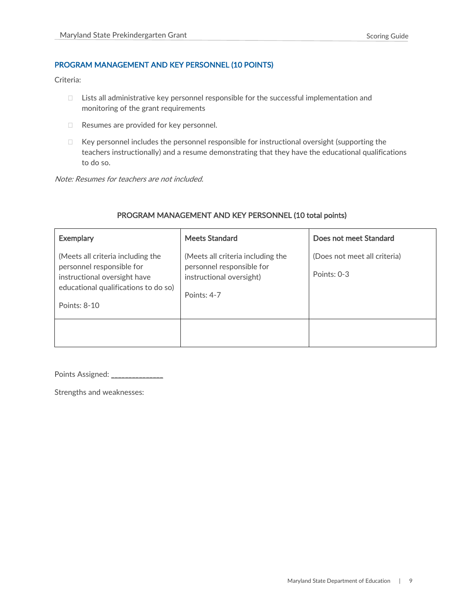#### <span id="page-9-0"></span>PROGRAM MANAGEMENT AND KEY PERSONNEL (10 POINTS)

Criteria:

- $\Box$  Lists all administrative key personnel responsible for the successful implementation and monitoring of the grant requirements
- □ Resumes are provided for key personnel.
- $\Box$  Key personnel includes the personnel responsible for instructional oversight (supporting the teachers instructionally) and a resume demonstrating that they have the educational qualifications to do so.

Note: Resumes for teachers are not included.

| <b>Exemplary</b>                                                                                                                                       | <b>Meets Standard</b>                                                                                     | Does not meet Standard                      |
|--------------------------------------------------------------------------------------------------------------------------------------------------------|-----------------------------------------------------------------------------------------------------------|---------------------------------------------|
| (Meets all criteria including the<br>personnel responsible for<br>instructional oversight have<br>educational qualifications to do so)<br>Points: 8-10 | (Meets all criteria including the<br>personnel responsible for<br>instructional oversight)<br>Points: 4-7 | (Does not meet all criteria)<br>Points: 0-3 |
|                                                                                                                                                        |                                                                                                           |                                             |

#### PROGRAM MANAGEMENT AND KEY PERSONNEL (10 total points)

Points Assigned: \_\_\_\_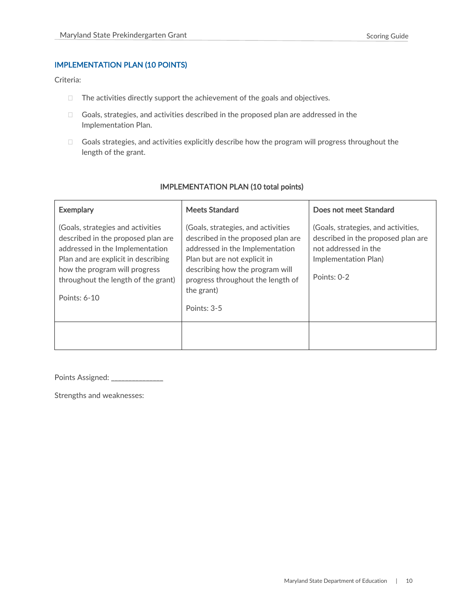#### <span id="page-10-0"></span>IMPLEMENTATION PLAN (10 POINTS)

Criteria:

- $\Box$  The activities directly support the achievement of the goals and objectives.
- $\Box$  Goals, strategies, and activities described in the proposed plan are addressed in the Implementation Plan.
- $\Box$  Goals strategies, and activities explicitly describe how the program will progress throughout the length of the grant.

#### **Exemplary** (Goals, strategies and activities described in the proposed plan are addressed in the Implementation Plan and are explicit in describing how the program will progress throughout the length of the grant) Points: 6-10 Meets Standard (Goals, strategies, and activities described in the proposed plan are addressed in the Implementation Plan but are not explicit in describing how the program will progress throughout the length of the grant) Points: 3-5 Does not meet Standard (Goals, strategies, and activities, described in the proposed plan are not addressed in the Implementation Plan) Points: 0-2

#### IMPLEMENTATION PLAN (10 total points)

Points Assigned: \_\_\_\_\_\_\_\_\_\_\_\_\_\_\_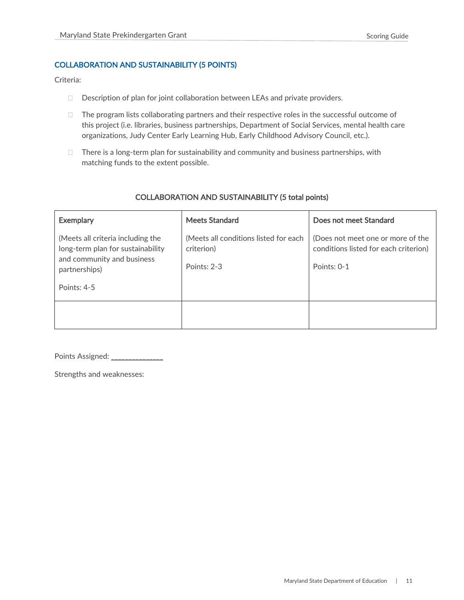#### <span id="page-11-0"></span>COLLABORATION AND SUSTAINABILITY (5 POINTS)

Criteria:

- Description of plan for joint collaboration between LEAs and private providers.
- $\Box$  The program lists collaborating partners and their respective roles in the successful outcome of this project (i.e. libraries, business partnerships, Department of Social Services, mental health care organizations, Judy Center Early Learning Hub, Early Childhood Advisory Council, etc.).
- $\Box$  There is a long-term plan for sustainability and community and business partnerships, with matching funds to the extent possible.

| <b>Exemplary</b>                                                                                                      | <b>Meets Standard</b>                                              | Does not meet Standard                                                                    |
|-----------------------------------------------------------------------------------------------------------------------|--------------------------------------------------------------------|-------------------------------------------------------------------------------------------|
| (Meets all criteria including the<br>long-term plan for sustainability<br>and community and business<br>partnerships) | (Meets all conditions listed for each<br>criterion)<br>Points: 2-3 | (Does not meet one or more of the<br>conditions listed for each criterion)<br>Points: 0-1 |
| Points: 4-5                                                                                                           |                                                                    |                                                                                           |
|                                                                                                                       |                                                                    |                                                                                           |

#### COLLABORATION AND SUSTAINABILITY (5 total points)

Points Assigned: \_\_\_\_\_\_\_\_\_\_\_\_\_\_\_